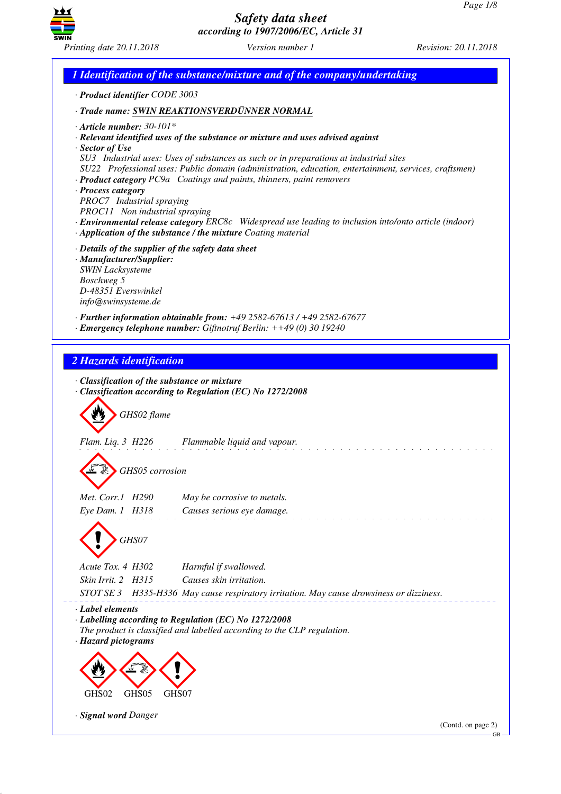

*1 Identification of the substance/mixture and of the company/undertaking · Product identifier CODE 3003 · Trade name: SWIN REAKTIONSVERDÜNNER NORMAL · Article number: 30-101\* · Relevant identified uses of the substance or mixture and uses advised against · Sector of Use SU3 Industrial uses: Uses of substances as such or in preparations at industrial sites SU22 Professional uses: Public domain (administration, education, entertainment, services, craftsmen) · Product category PC9a Coatings and paints, thinners, paint removers · Process category PROC7 Industrial spraying PROC11 Non industrial spraying · Environmental release category ERC8c Widespread use leading to inclusion into/onto article (indoor) · Application of the substance / the mixture Coating material · Details of the supplier of the safety data sheet · Manufacturer/Supplier: SWIN Lacksysteme Boschweg 5 D-48351 Everswinkel info@swinsysteme.de · Further information obtainable from: +49 2582-67613 / +49 2582-67677 · Emergency telephone number: Giftnotruf Berlin: ++49 (0) 30 19240 2 Hazards identification · Classification of the substance or mixture · Classification according to Regulation (EC) No 1272/2008* d~*GHS02 flame Flam. Liq. 3 H226 Flammable liquid and vapour.* d~*GHS05 corrosion Met. Corr.1 H290 May be corrosive to metals. Eye Dam. 1 H318 Causes serious eye damage.* d~*GHS07 Acute Tox. 4 H302 Harmful if swallowed. Skin Irrit. 2 H315 Causes skin irritation. STOT SE 3 H335-H336 May cause respiratory irritation. May cause drowsiness or dizziness. · Label elements · Labelling according to Regulation (EC) No 1272/2008 The product is classified and labelled according to the CLP regulation. · Hazard pictograms* < GHS02 de 19 GHS05  $\langle \cdot \rangle$ GHS07 *· Signal word Danger* (Contd. on page 2) GB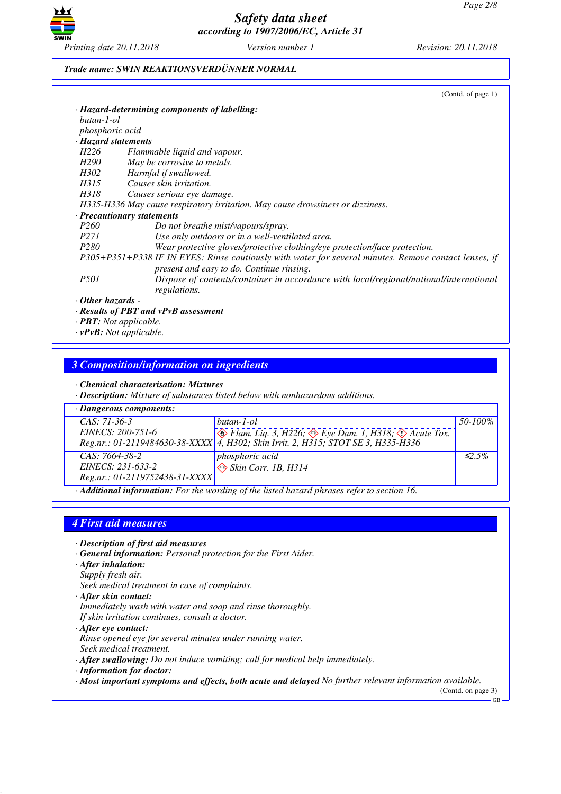

#### *Trade name: SWIN REAKTIONSVERDÜNNER NORMAL*

|                         | (Contd. of page 1)                                                                                                                                 |
|-------------------------|----------------------------------------------------------------------------------------------------------------------------------------------------|
|                         | · Hazard-determining components of labelling:                                                                                                      |
| butan-1-ol              |                                                                                                                                                    |
| phosphoric acid         |                                                                                                                                                    |
| · Hazard statements     |                                                                                                                                                    |
| H <sub>226</sub>        | Flammable liquid and vapour.                                                                                                                       |
| H290                    | May be corrosive to metals.                                                                                                                        |
| H302                    | Harmful if swallowed.                                                                                                                              |
| H315                    | Causes skin irritation.                                                                                                                            |
| H318                    | Causes serious eye damage.                                                                                                                         |
|                         | H335-H336 May cause respiratory irritation. May cause drowsiness or dizziness.                                                                     |
|                         | · Precautionary statements                                                                                                                         |
| <i>P260</i>             | Do not breathe mist/vapours/spray.                                                                                                                 |
| <i>P271</i>             | Use only outdoors or in a well-ventilated area.                                                                                                    |
| P <sub>280</sub>        | Wear protective gloves/protective clothing/eye protection/face protection.                                                                         |
|                         | P305+P351+P338 IF IN EYES: Rinse cautiously with water for several minutes. Remove contact lenses, if<br>present and easy to do. Continue rinsing. |
| <i>P501</i>             | Dispose of contents/container in accordance with local/regional/national/international<br>regulations.                                             |
| $\cdot$ Other hazards - |                                                                                                                                                    |
|                         | $\cdot$ Results of PBT and vPvB assessment                                                                                                         |

*· PBT: Not applicable. · vPvB: Not applicable.*

#### *3 Composition/information on ingredients*

*· Chemical characterisation: Mixtures*

*· Description: Mixture of substances listed below with nonhazardous additions.*

| $\cdot$ Dangerous components:  |                                                                                                        |              |  |  |
|--------------------------------|--------------------------------------------------------------------------------------------------------|--------------|--|--|
| $CAS: 71-36-3$                 | butan-1-ol                                                                                             | 50-100%      |  |  |
|                                | EINECS: 200-751-6<br>Reg.nr.: 01-2119484630-38-XXXX 4, H302; Skin Irrit. 2, H315; STOT SE 3, H335-H336 |              |  |  |
|                                |                                                                                                        |              |  |  |
| $CAS: 7664-38-2$               | <i>phosphoric acid</i>                                                                                 | $\leq 2.5\%$ |  |  |
| EINECS: 231-633-2              | $\Leftrightarrow$ Skin Corr. 1B, $H314$                                                                |              |  |  |
| Reg.nr.: 01-2119752438-31-XXXX |                                                                                                        |              |  |  |

*· Additional information: For the wording of the listed hazard phrases refer to section 16.*

### *4 First aid measures*

- *· Description of first aid measures*
- *· General information: Personal protection for the First Aider.*
- *· After inhalation:*
- *Supply fresh air. Seek medical treatment in case of complaints.*
- *· After skin contact: Immediately wash with water and soap and rinse thoroughly. If skin irritation continues, consult a doctor.*
- *· After eye contact: Rinse opened eye for several minutes under running water. Seek medical treatment.*
- *· After swallowing: Do not induce vomiting; call for medical help immediately.*
- *· Information for doctor:*
- *· Most important symptoms and effects, both acute and delayed No further relevant information available.*

(Contd. on page 3) GB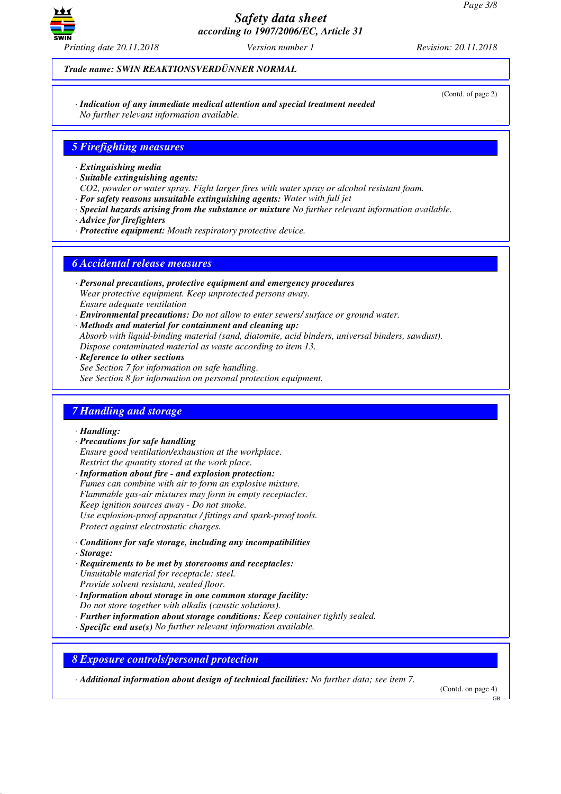

*Trade name: SWIN REAKTIONSVERDÜNNER NORMAL*

(Contd. of page 2)

*· Indication of any immediate medical attention and special treatment needed No further relevant information available.*

### *5 Firefighting measures*

- *· Extinguishing media*
- *· Suitable extinguishing agents:*
- *CO2, powder or water spray. Fight larger fires with water spray or alcohol resistant foam.*
- *· For safety reasons unsuitable extinguishing agents: Water with full jet*
- *· Special hazards arising from the substance or mixture No further relevant information available.*
- *· Advice for firefighters*
- *· Protective equipment: Mouth respiratory protective device.*

### *6 Accidental release measures*

- *· Personal precautions, protective equipment and emergency procedures Wear protective equipment. Keep unprotected persons away. Ensure adequate ventilation*
- *· Environmental precautions: Do not allow to enter sewers/ surface or ground water.*
- *· Methods and material for containment and cleaning up: Absorb with liquid-binding material (sand, diatomite, acid binders, universal binders, sawdust). Dispose contaminated material as waste according to item 13.*
- *· Reference to other sections See Section 7 for information on safe handling. See Section 8 for information on personal protection equipment.*

#### *7 Handling and storage*

*· Handling:*

- *· Precautions for safe handling Ensure good ventilation/exhaustion at the workplace. Restrict the quantity stored at the work place.*
- *· Information about fire and explosion protection: Fumes can combine with air to form an explosive mixture. Flammable gas-air mixtures may form in empty receptacles. Keep ignition sources away - Do not smoke. Use explosion-proof apparatus / fittings and spark-proof tools. Protect against electrostatic charges.*
- *· Conditions for safe storage, including any incompatibilities*
- *· Storage:*
- *· Requirements to be met by storerooms and receptacles: Unsuitable material for receptacle: steel. Provide solvent resistant, sealed floor.*
- *· Information about storage in one common storage facility: Do not store together with alkalis (caustic solutions).*
- *· Further information about storage conditions: Keep container tightly sealed.*
- *· Specific end use(s) No further relevant information available.*

*8 Exposure controls/personal protection*

*· Additional information about design of technical facilities: No further data; see item 7.*

(Contd. on page 4)

GB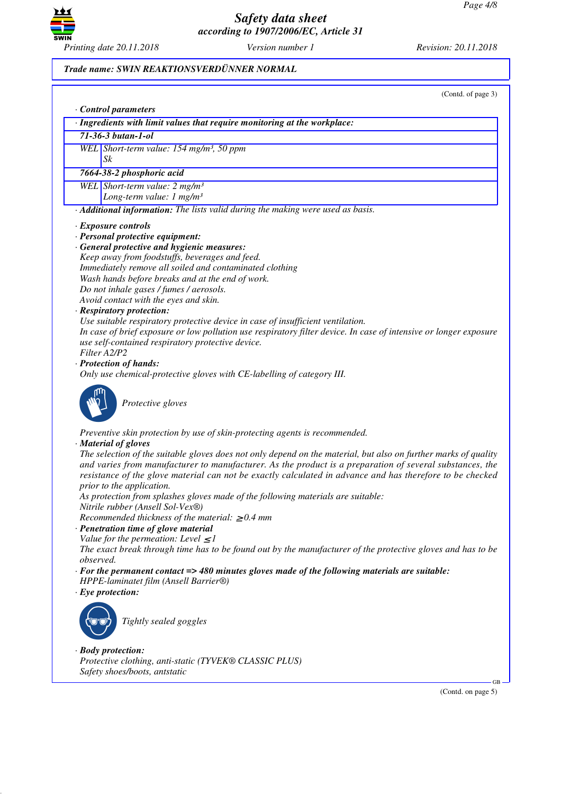

#### *Trade name: SWIN REAKTIONSVERDÜNNER NORMAL*

(Contd. of page 3)

|                          | Control parameters                                                                                                                                                                                                                                                                                                                       |  |  |
|--------------------------|------------------------------------------------------------------------------------------------------------------------------------------------------------------------------------------------------------------------------------------------------------------------------------------------------------------------------------------|--|--|
|                          | · Ingredients with limit values that require monitoring at the workplace:                                                                                                                                                                                                                                                                |  |  |
|                          | $71 - 36 - 3 but an - 1 - ol$                                                                                                                                                                                                                                                                                                            |  |  |
| Sk                       | WEL Short-term value: 154 mg/m <sup>3</sup> , 50 ppm                                                                                                                                                                                                                                                                                     |  |  |
|                          | 7664-38-2 phosphoric acid                                                                                                                                                                                                                                                                                                                |  |  |
|                          | WEL Short-term value: $2 mg/m3$                                                                                                                                                                                                                                                                                                          |  |  |
|                          | Long-term value: $1 mg/m3$                                                                                                                                                                                                                                                                                                               |  |  |
|                          | · Additional information: The lists valid during the making were used as basis.                                                                                                                                                                                                                                                          |  |  |
|                          | · Exposure controls                                                                                                                                                                                                                                                                                                                      |  |  |
|                          | · Personal protective equipment:                                                                                                                                                                                                                                                                                                         |  |  |
|                          | · General protective and hygienic measures:                                                                                                                                                                                                                                                                                              |  |  |
|                          | Keep away from foodstuffs, beverages and feed.                                                                                                                                                                                                                                                                                           |  |  |
|                          | Immediately remove all soiled and contaminated clothing                                                                                                                                                                                                                                                                                  |  |  |
|                          | Wash hands before breaks and at the end of work.                                                                                                                                                                                                                                                                                         |  |  |
|                          | Do not inhale gases / fumes / aerosols.                                                                                                                                                                                                                                                                                                  |  |  |
|                          | Avoid contact with the eyes and skin.                                                                                                                                                                                                                                                                                                    |  |  |
|                          | · Respiratory protection:                                                                                                                                                                                                                                                                                                                |  |  |
|                          | Use suitable respiratory protective device in case of insufficient ventilation.                                                                                                                                                                                                                                                          |  |  |
|                          | In case of brief exposure or low pollution use respiratory filter device. In case of intensive or longer exposure                                                                                                                                                                                                                        |  |  |
|                          | use self-contained respiratory protective device.                                                                                                                                                                                                                                                                                        |  |  |
| Filter A2/P2             |                                                                                                                                                                                                                                                                                                                                          |  |  |
|                          | · Protection of hands:                                                                                                                                                                                                                                                                                                                   |  |  |
|                          | Only use chemical-protective gloves with CE-labelling of category III.                                                                                                                                                                                                                                                                   |  |  |
|                          | Protective gloves                                                                                                                                                                                                                                                                                                                        |  |  |
|                          | Preventive skin protection by use of skin-protecting agents is recommended.                                                                                                                                                                                                                                                              |  |  |
|                          | · Material of gloves                                                                                                                                                                                                                                                                                                                     |  |  |
|                          | The selection of the suitable gloves does not only depend on the material, but also on further marks of quality<br>and varies from manufacturer to manufacturer. As the product is a preparation of several substances, the<br>resistance of the glove material can not be exactly calculated in advance and has therefore to be checked |  |  |
|                          | prior to the application.<br>As protection from splashes gloves made of the following materials are suitable:<br>Nitrile rubber (Ansell Sol-Vex®)                                                                                                                                                                                        |  |  |
|                          | Recommended thickness of the material: $\geq 0.4$ mm                                                                                                                                                                                                                                                                                     |  |  |
|                          | · Penetration time of glove material                                                                                                                                                                                                                                                                                                     |  |  |
|                          | Value for the permeation: Level $\leq$ 1                                                                                                                                                                                                                                                                                                 |  |  |
|                          | The exact break through time has to be found out by the manufacturer of the protective gloves and has to be                                                                                                                                                                                                                              |  |  |
| observed.                |                                                                                                                                                                                                                                                                                                                                          |  |  |
|                          | $\cdot$ For the permanent contact => 480 minutes gloves made of the following materials are suitable:<br>HPPE-laminatet film (Ansell Barrier®)                                                                                                                                                                                           |  |  |
| $\cdot$ Eye protection:  |                                                                                                                                                                                                                                                                                                                                          |  |  |
|                          | Tightly sealed goggles                                                                                                                                                                                                                                                                                                                   |  |  |
| $\cdot$ Body protection: | Protective clothing, anti-static (TYVEK® CLASSIC PLUS)<br>Safety shoes/boots, antstatic                                                                                                                                                                                                                                                  |  |  |

(Contd. on page 5)

GB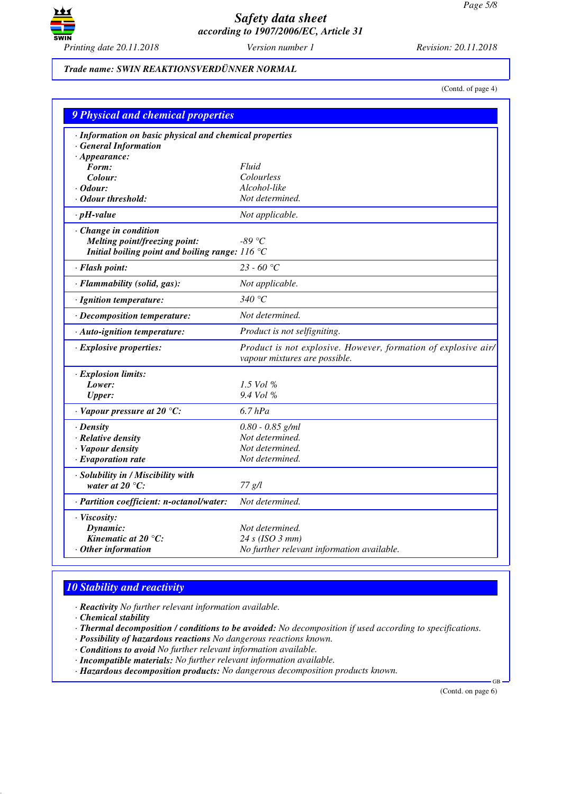

#### *Trade name: SWIN REAKTIONSVERDÜNNER NORMAL*

(Contd. of page 4)

| 9 Physical and chemical properties                      |                                                                                                 |
|---------------------------------------------------------|-------------------------------------------------------------------------------------------------|
| · Information on basic physical and chemical properties |                                                                                                 |
| · General Information                                   |                                                                                                 |
| $\cdot$ Appearance:                                     |                                                                                                 |
| Form:                                                   | Fluid                                                                                           |
| Colour:                                                 | Colourless                                                                                      |
| $\cdot$ Odour:<br>$\cdot$ Odour threshold:              | Alcohol-like                                                                                    |
|                                                         | Not determined.                                                                                 |
| $\cdot$ pH-value                                        | Not applicable.                                                                                 |
| · Change in condition                                   |                                                                                                 |
| Melting point/freezing point:                           | -89 °C                                                                                          |
| Initial boiling point and boiling range: $116 °C$       |                                                                                                 |
| · Flash point:                                          | $23 - 60$ °C                                                                                    |
| · Flammability (solid, gas):                            | Not applicable.                                                                                 |
| · Ignition temperature:                                 | 340 $\degree$ C                                                                                 |
| · Decomposition temperature:                            | Not determined.                                                                                 |
| · Auto-ignition temperature:                            | Product is not selfigniting.                                                                    |
| $\cdot$ Explosive properties:                           | Product is not explosive. However, formation of explosive air/<br>vapour mixtures are possible. |
| $\cdot$ Explosion limits:                               |                                                                                                 |
| Lower:                                                  | 1.5 Vol %                                                                                       |
| <b>Upper:</b>                                           | 9.4 Vol %                                                                                       |
| $\cdot$ Vapour pressure at 20 °C:                       | $6.7$ $hPa$                                                                                     |
| $\cdot$ Density                                         | $0.80 - 0.85$ g/ml                                                                              |
| · Relative density                                      | Not determined.                                                                                 |
| · Vapour density                                        | Not determined.                                                                                 |
| $\cdot$ Evaporation rate                                | Not determined.                                                                                 |
| · Solubility in / Miscibility with                      |                                                                                                 |
| water at $20^{\circ}$ C:                                | 77 g/l                                                                                          |
| · Partition coefficient: n-octanol/water:               | Not determined.                                                                                 |
| · Viscosity:                                            |                                                                                                 |
| Dynamic:                                                | Not determined.                                                                                 |
| Kinematic at 20 $^{\circ}$ C:                           | 24 s (ISO 3 mm)                                                                                 |
| $\cdot$ Other information                               | No further relevant information available.                                                      |

## *10 Stability and reactivity*

*· Reactivity No further relevant information available.*

*· Chemical stability*

*· Thermal decomposition / conditions to be avoided: No decomposition if used according to specifications.*

*· Possibility of hazardous reactions No dangerous reactions known.*

*· Conditions to avoid No further relevant information available.*

*· Incompatible materials: No further relevant information available.*

*· Hazardous decomposition products: No dangerous decomposition products known.*

(Contd. on page 6)

GB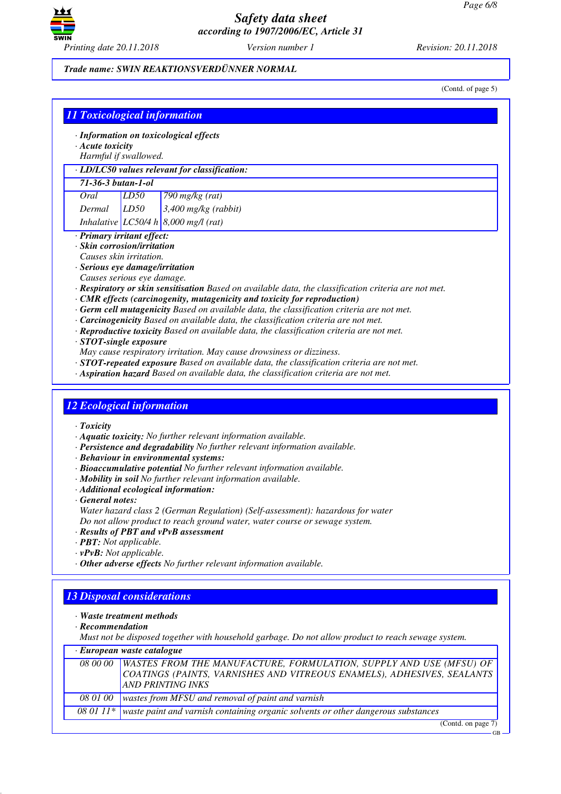

#### *Trade name: SWIN REAKTIONSVERDÜNNER NORMAL*

(Contd. of page 5)

| $\cdot$ Acute toxicity |                                                               | · Information on toxicological effects                                                                                                                                                    |
|------------------------|---------------------------------------------------------------|-------------------------------------------------------------------------------------------------------------------------------------------------------------------------------------------|
|                        | Harmful if swallowed.                                         |                                                                                                                                                                                           |
|                        |                                                               | · LD/LC50 values relevant for classification:                                                                                                                                             |
| 71-36-3 butan-1-ol     |                                                               |                                                                                                                                                                                           |
| <b>Oral</b>            | LD50                                                          | 790 mg $\sqrt{kg(rat)}$                                                                                                                                                                   |
| Dermal                 | LD50                                                          | 3,400 mg/kg (rabbit)                                                                                                                                                                      |
|                        |                                                               | Inhalative LC50/4 h 8,000 mg/l (rat)                                                                                                                                                      |
|                        | · Primary irritant effect:                                    |                                                                                                                                                                                           |
|                        | · Skin corrosion/irritation                                   |                                                                                                                                                                                           |
|                        | Causes skin irritation.                                       |                                                                                                                                                                                           |
|                        | · Serious eye damage/irritation<br>Causes serious eye damage. |                                                                                                                                                                                           |
|                        |                                                               | · Respiratory or skin sensitisation Based on available data, the classification criteria are not met.                                                                                     |
|                        |                                                               | $\cdot$ CMR effects (carcinogenity, mutagenicity and toxicity for reproduction)                                                                                                           |
|                        |                                                               | $\cdot$ Germ cell mutagenicity Based on available data, the classification criteria are not met.                                                                                          |
|                        |                                                               | · Carcinogenicity Based on available data, the classification criteria are not met.                                                                                                       |
|                        |                                                               | · Reproductive toxicity Based on available data, the classification criteria are not met.                                                                                                 |
|                        | · STOT-single exposure                                        |                                                                                                                                                                                           |
|                        |                                                               | May cause respiratory irritation. May cause drowsiness or dizziness.                                                                                                                      |
|                        |                                                               | $\cdot$ STOT-repeated exposure Based on available data, the classification criteria are not met.<br>· Aspiration hazard Based on available data, the classification criteria are not met. |
| $\cdot$ Toxicity       | <b>12 Ecological information</b>                              |                                                                                                                                                                                           |
|                        |                                                               |                                                                                                                                                                                           |
|                        |                                                               | · Aquatic toxicity: No further relevant information available.<br>· Persistence and degradability No further relevant information available.                                              |
|                        |                                                               | · Behaviour in environmental systems:                                                                                                                                                     |
|                        |                                                               | · Bioaccumulative potential No further relevant information available.                                                                                                                    |
|                        |                                                               | · Mobility in soil No further relevant information available.                                                                                                                             |
|                        |                                                               | · Additional ecological information:                                                                                                                                                      |
| $\cdot$ General notes: |                                                               |                                                                                                                                                                                           |
|                        |                                                               | Water hazard class 2 (German Regulation) (Self-assessment): hazardous for water                                                                                                           |
|                        |                                                               | Do not allow product to reach ground water, water course or sewage system.<br>· Results of PBT and vPvB assessment                                                                        |
|                        | · PBT: Not applicable.                                        |                                                                                                                                                                                           |
|                        | $\cdot$ vPvB: Not applicable.                                 |                                                                                                                                                                                           |
|                        |                                                               | · Other adverse effects No further relevant information available.                                                                                                                        |
|                        |                                                               |                                                                                                                                                                                           |
|                        | <b>13 Disposal considerations</b>                             |                                                                                                                                                                                           |
|                        |                                                               |                                                                                                                                                                                           |
|                        | · Waste treatment methods                                     |                                                                                                                                                                                           |
| $\cdot$ Recommendation |                                                               |                                                                                                                                                                                           |
|                        |                                                               | Must not be disposed together with household garbage. Do not allow product to reach sewage system.                                                                                        |
|                        | · European waste catalogue                                    |                                                                                                                                                                                           |
| 08 00 00               |                                                               | WASTES FROM THE MANUFACTURE, FORMULATION, SUPPLY AND USE (MFSU) OF                                                                                                                        |
|                        |                                                               | COATINGS (PAINTS, VARNISHES AND VITREOUS ENAMELS), ADHESIVES, SEALANTS                                                                                                                    |
| 08 01 00               |                                                               | <b>AND PRINTING INKS</b><br>wastes from MFSU and removal of paint and varnish                                                                                                             |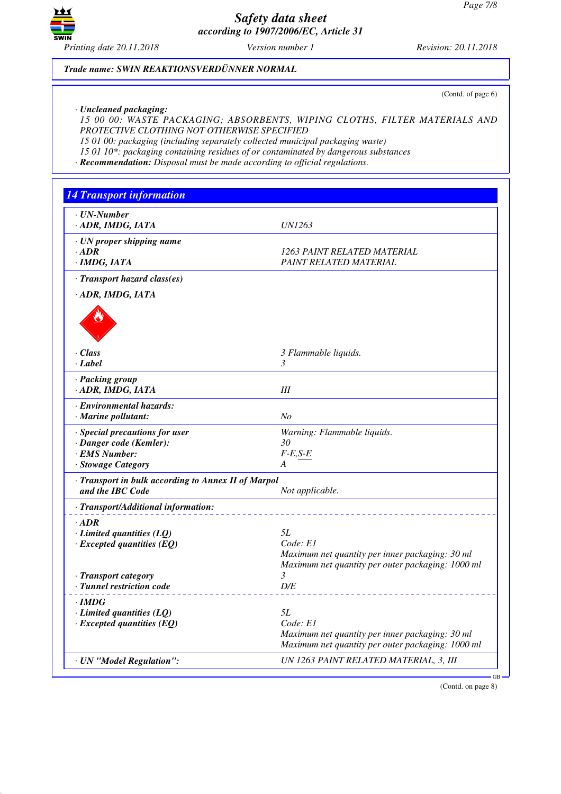

# *Trade name: SWIN REAKTIONSVERDÜNNER NORMAL*

(Contd. of page 6)

*· Uncleaned packaging:*

*15 00 00: WASTE PACKAGING; ABSORBENTS, WIPING CLOTHS, FILTER MATERIALS AND PROTECTIVE CLOTHING NOT OTHERWISE SPECIFIED*

*15 01 00: packaging (including separately collected municipal packaging waste)*

*15 01 10\*: packaging containing residues of or contaminated by dangerous substances*

*· Recommendation: Disposal must be made according to official regulations.*

| <b>14 Transport information</b>                                                                  |                                                                                                                        |
|--------------------------------------------------------------------------------------------------|------------------------------------------------------------------------------------------------------------------------|
| $\cdot$ UN-Number<br>· ADR, IMDG, IATA                                                           | <i>UN1263</i>                                                                                                          |
| · UN proper shipping name<br>$\cdot$ ADR<br>· IMDG, IATA                                         | 1263 PAINT RELATED MATERIAL<br>PAINT RELATED MATERIAL                                                                  |
| · Transport hazard class(es)                                                                     |                                                                                                                        |
| · ADR, IMDG, IATA                                                                                |                                                                                                                        |
| $\cdot$ Class<br>· Label                                                                         | 3 Flammable liquids.<br>3                                                                                              |
| · Packing group<br>· ADR, IMDG, IATA                                                             | III                                                                                                                    |
| · Environmental hazards:<br>· Marine pollutant:                                                  | N <sub>O</sub>                                                                                                         |
| · Special precautions for user<br>· Danger code (Kemler):<br>· EMS Number:<br>· Stowage Category | Warning: Flammable liquids.<br>30<br>$F-E, S-E$<br>A                                                                   |
| · Transport in bulk according to Annex II of Marpol<br>and the IBC Code                          | Not applicable.                                                                                                        |
| · Transport/Additional information:                                                              |                                                                                                                        |
| $\cdot$ ADR<br>$\cdot$ Limited quantities (LQ)<br>$\cdot$ Excepted quantities (EQ)               | 5L<br>Code: E1<br>Maximum net quantity per inner packaging: 30 ml<br>Maximum net quantity per outer packaging: 1000 ml |
| · Transport category<br>· Tunnel restriction code                                                | 3<br>D/E                                                                                                               |
| · IMDG<br>$\cdot$ Limited quantities (LQ)<br>$\cdot$ Excepted quantities (EQ)                    | 5L<br>Code: E1<br>Maximum net quantity per inner packaging: 30 ml<br>Maximum net quantity per outer packaging: 1000 ml |
| · UN "Model Regulation":                                                                         | UN 1263 PAINT RELATED MATERIAL, 3, III                                                                                 |

(Contd. on page 8)